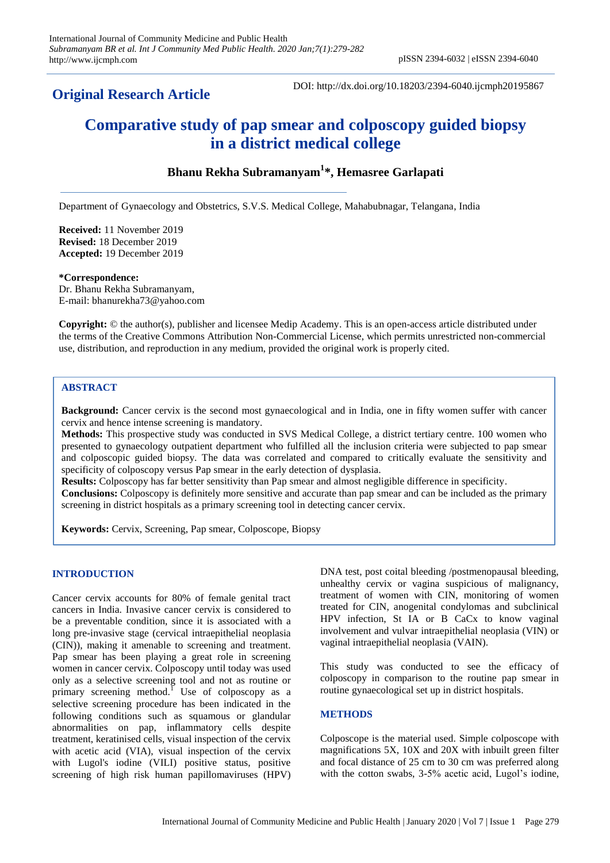# **Original Research Article**

DOI: http://dx.doi.org/10.18203/2394-6040.ijcmph20195867

# **Comparative study of pap smear and colposcopy guided biopsy in a district medical college**

# **Bhanu Rekha Subramanyam<sup>1</sup> \*, Hemasree Garlapati**

Department of Gynaecology and Obstetrics, S.V.S. Medical College, Mahabubnagar, Telangana, India

**Received:** 11 November 2019 **Revised:** 18 December 2019 **Accepted:** 19 December 2019

#### **\*Correspondence:**

Dr. Bhanu Rekha Subramanyam, E-mail: bhanurekha73@yahoo.com

**Copyright:** © the author(s), publisher and licensee Medip Academy. This is an open-access article distributed under the terms of the Creative Commons Attribution Non-Commercial License, which permits unrestricted non-commercial use, distribution, and reproduction in any medium, provided the original work is properly cited.

# **ABSTRACT**

**Background:** Cancer cervix is the second most gynaecological and in India, one in fifty women suffer with cancer cervix and hence intense screening is mandatory.

**Methods:** This prospective study was conducted in SVS Medical College, a district tertiary centre. 100 women who presented to gynaecology outpatient department who fulfilled all the inclusion criteria were subjected to pap smear and colposcopic guided biopsy. The data was correlated and compared to critically evaluate the sensitivity and specificity of colposcopy versus Pap smear in the early detection of dysplasia.

**Results:** Colposcopy has far better sensitivity than Pap smear and almost negligible difference in specificity. **Conclusions:** Colposcopy is definitely more sensitive and accurate than pap smear and can be included as the primary screening in district hospitals as a primary screening tool in detecting cancer cervix.

**Keywords:** Cervix, Screening, Pap smear, Colposcope, Biopsy

# **INTRODUCTION**

Cancer cervix accounts for 80% of female genital tract cancers in India. Invasive cancer cervix is considered to be a preventable condition, since it is associated with a long pre-invasive stage (cervical intraepithelial neoplasia (CIN)), making it amenable to screening and treatment. Pap smear has been playing a great role in screening women in cancer cervix. Colposcopy until today was used only as a selective screening tool and not as routine or primary screening method.<sup>1</sup> Use of colposcopy as a selective screening procedure has been indicated in the following conditions such as squamous or glandular abnormalities on pap, inflammatory cells despite treatment, keratinised cells, visual inspection of the cervix with acetic acid (VIA), visual inspection of the cervix with Lugol's iodine (VILI) positive status, positive screening of high risk human papillomaviruses (HPV) DNA test, post coital bleeding /postmenopausal bleeding, unhealthy cervix or vagina suspicious of malignancy, treatment of women with CIN, monitoring of women treated for CIN, anogenital condylomas and subclinical HPV infection, St IA or B CaCx to know vaginal involvement and vulvar intraepithelial neoplasia (VIN) or vaginal intraepithelial neoplasia (VAIN).

This study was conducted to see the efficacy of colposcopy in comparison to the routine pap smear in routine gynaecological set up in district hospitals.

# **METHODS**

Colposcope is the material used. Simple colposcope with magnifications 5X, 10X and 20X with inbuilt green filter and focal distance of 25 cm to 30 cm was preferred along with the cotton swabs, 3-5% acetic acid, Lugol's iodine,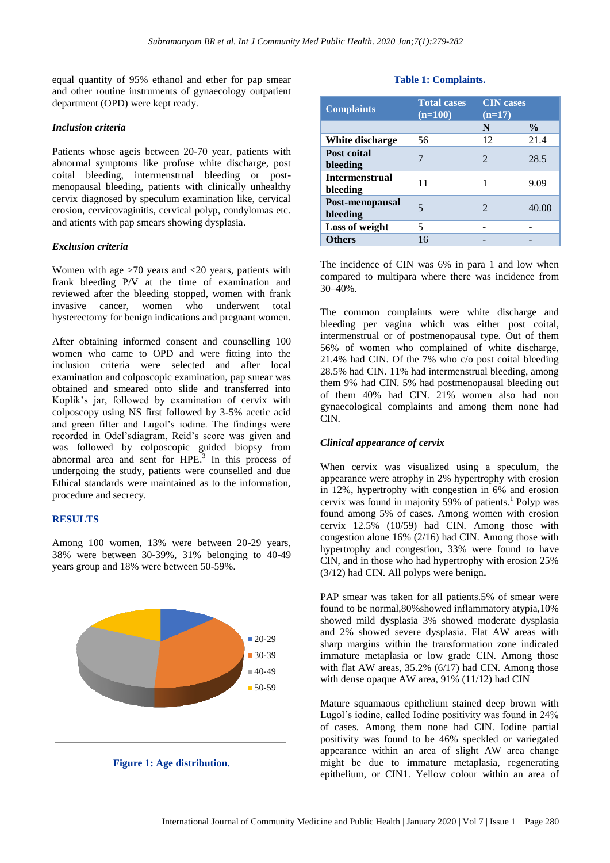equal quantity of 95% ethanol and ether for pap smear and other routine instruments of gynaecology outpatient department (OPD) were kept ready.

#### *Inclusion criteria*

Patients whose ageis between 20-70 year, patients with abnormal symptoms like profuse white discharge, post coital bleeding, intermenstrual bleeding or postmenopausal bleeding, patients with clinically unhealthy cervix diagnosed by speculum examination like, cervical erosion, cervicovaginitis, cervical polyp, condylomas etc. and atients with pap smears showing dysplasia.

#### *Exclusion criteria*

Women with age >70 years and <20 years, patients with frank bleeding P/V at the time of examination and reviewed after the bleeding stopped, women with frank invasive cancer, women who underwent total hysterectomy for benign indications and pregnant women.

After obtaining informed consent and counselling 100 women who came to OPD and were fitting into the inclusion criteria were selected and after local examination and colposcopic examination, pap smear was obtained and smeared onto slide and transferred into Koplik's jar, followed by examination of cervix with colposcopy using NS first followed by 3-5% acetic acid and green filter and Lugol's iodine. The findings were recorded in Odel'sdiagram, Reid's score was given and was followed by colposcopic guided biopsy from abnormal area and sent for HPE. 3 In this process of undergoing the study, patients were counselled and due Ethical standards were maintained as to the information, procedure and secrecy.

#### **RESULTS**

Among 100 women, 13% were between 20-29 years, 38% were between 30-39%, 31% belonging to 40-49 years group and 18% were between 50-59%.





## **Table 1: Complaints.**

| <b>Complaints</b>                 | <b>Total cases</b><br>$(n=100)$ | <b>CIN</b> cases<br>$(n=17)$ |               |
|-----------------------------------|---------------------------------|------------------------------|---------------|
|                                   |                                 | N                            | $\frac{0}{0}$ |
| White discharge                   | 56                              | 12                           | 21.4          |
| Post coital<br>bleeding           |                                 | $\mathfrak{D}$               | 28.5          |
| <b>Intermenstrual</b><br>bleeding | 11                              |                              | 9.09          |
| Post-menopausal<br>bleeding       | 5                               | $\mathcal{D}_{\cdot}$        | 40.00         |
| Loss of weight                    | 5                               |                              |               |
| <b>Others</b>                     | 16                              |                              |               |

The incidence of CIN was 6% in para 1 and low when compared to multipara where there was incidence from 30–40%.

The common complaints were white discharge and bleeding per vagina which was either post coital, intermenstrual or of postmenopausal type. Out of them 56% of women who complained of white discharge, 21.4% had CIN. Of the 7% who c/o post coital bleeding 28.5% had CIN. 11% had intermenstrual bleeding, among them 9% had CIN. 5% had postmenopausal bleeding out of them 40% had CIN. 21% women also had non gynaecological complaints and among them none had CIN.

#### *Clinical appearance of cervix*

When cervix was visualized using a speculum, the appearance were atrophy in 2% hypertrophy with erosion in 12%, hypertrophy with congestion in 6% and erosion cervix was found in majority 59% of patients.<sup>1</sup> Polyp was found among 5% of cases. Among women with erosion cervix 12.5% (10/59) had CIN. Among those with congestion alone 16% (2/16) had CIN. Among those with hypertrophy and congestion, 33% were found to have CIN, and in those who had hypertrophy with erosion 25% (3/12) had CIN. All polyps were benign**.**

PAP smear was taken for all patients.5% of smear were found to be normal,80%showed inflammatory atypia,10% showed mild dysplasia 3% showed moderate dysplasia and 2% showed severe dysplasia. Flat AW areas with sharp margins within the transformation zone indicated immature metaplasia or low grade CIN. Among those with flat AW areas, 35.2% (6/17) had CIN. Among those with dense opaque AW area, 91% (11/12) had CIN

Mature squamaous epithelium stained deep brown with Lugol's iodine, called Iodine positivity was found in 24% of cases. Among them none had CIN. Iodine partial positivity was found to be 46% speckled or variegated appearance within an area of slight AW area change might be due to immature metaplasia, regenerating epithelium, or CIN1. Yellow colour within an area of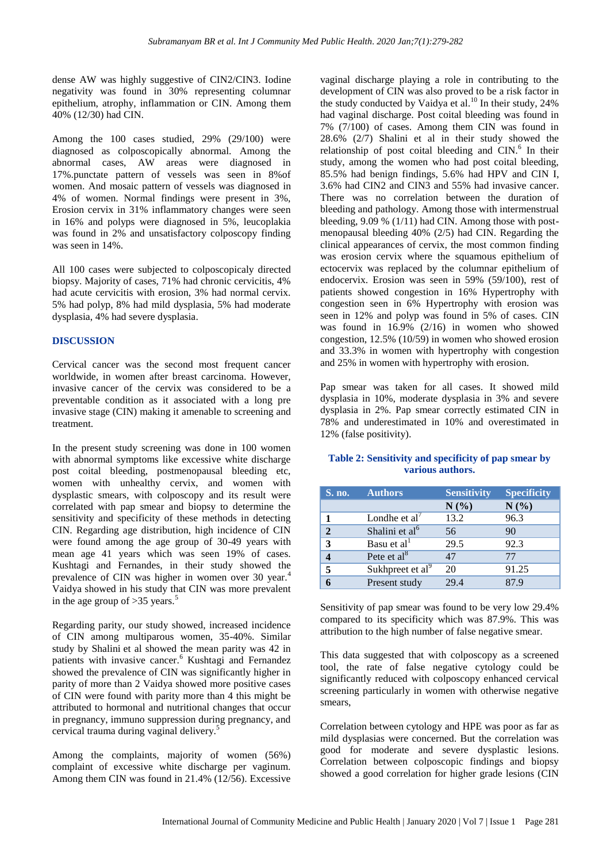dense AW was highly suggestive of CIN2/CIN3. Iodine negativity was found in 30% representing columnar epithelium, atrophy, inflammation or CIN. Among them 40% (12/30) had CIN.

Among the 100 cases studied, 29% (29/100) were diagnosed as colposcopically abnormal. Among the abnormal cases, AW areas were diagnosed in 17%.punctate pattern of vessels was seen in 8%of women. And mosaic pattern of vessels was diagnosed in 4% of women. Normal findings were present in 3%, Erosion cervix in 31% inflammatory changes were seen in 16% and polyps were diagnosed in 5%, leucoplakia was found in 2% and unsatisfactory colposcopy finding was seen in 14%.

All 100 cases were subjected to colposcopicaly directed biopsy. Majority of cases, 71% had chronic cervicitis, 4% had acute cervicitis with erosion, 3% had normal cervix. 5% had polyp, 8% had mild dysplasia, 5% had moderate dysplasia, 4% had severe dysplasia.

## **DISCUSSION**

Cervical cancer was the second most frequent cancer worldwide, in women after breast carcinoma. However, invasive cancer of the cervix was considered to be a preventable condition as it associated with a long pre invasive stage (CIN) making it amenable to screening and treatment.

In the present study screening was done in 100 women with abnormal symptoms like excessive white discharge post coital bleeding, postmenopausal bleeding etc, women with unhealthy cervix, and women with dysplastic smears, with colposcopy and its result were correlated with pap smear and biopsy to determine the sensitivity and specificity of these methods in detecting CIN. Regarding age distribution, high incidence of CIN were found among the age group of 30-49 years with mean age 41 years which was seen 19% of cases. Kushtagi and Fernandes, in their study showed the prevalence of CIN was higher in women over 30 year.<sup>4</sup> Vaidya showed in his study that CIN was more prevalent in the age group of  $>35$  years.<sup>5</sup>

Regarding parity, our study showed, increased incidence of CIN among multiparous women, 35-40%. Similar study by Shalini et al showed the mean parity was 42 in patients with invasive cancer.<sup>6</sup> Kushtagi and Fernandez showed the prevalence of CIN was significantly higher in parity of more than 2 Vaidya showed more positive cases of CIN were found with parity more than 4 this might be attributed to hormonal and nutritional changes that occur in pregnancy, immuno suppression during pregnancy, and cervical trauma during vaginal delivery.<sup>5</sup>

Among the complaints, majority of women (56%) complaint of excessive white discharge per vaginum. Among them CIN was found in 21.4% (12/56). Excessive

vaginal discharge playing a role in contributing to the development of CIN was also proved to be a risk factor in the study conducted by Vaidya et al.<sup>10</sup> In their study, 24% had vaginal discharge. Post coital bleeding was found in 7% (7/100) of cases. Among them CIN was found in 28.6% (2/7) Shalini et al in their study showed the relationship of post coital bleeding and  $CIN$ .<sup>6</sup> In their study, among the women who had post coital bleeding, 85.5% had benign findings, 5.6% had HPV and CIN I, 3.6% had CIN2 and CIN3 and 55% had invasive cancer. There was no correlation between the duration of bleeding and pathology. Among those with intermenstrual bleeding, 9.09 % (1/11) had CIN. Among those with postmenopausal bleeding 40% (2/5) had CIN. Regarding the clinical appearances of cervix, the most common finding was erosion cervix where the squamous epithelium of ectocervix was replaced by the columnar epithelium of endocervix. Erosion was seen in 59% (59/100), rest of patients showed congestion in 16% Hypertrophy with congestion seen in 6% Hypertrophy with erosion was seen in 12% and polyp was found in 5% of cases. CIN was found in 16.9% (2/16) in women who showed congestion, 12.5% (10/59) in women who showed erosion and 33.3% in women with hypertrophy with congestion and 25% in women with hypertrophy with erosion.

Pap smear was taken for all cases. It showed mild dysplasia in 10%, moderate dysplasia in 3% and severe dysplasia in 2%. Pap smear correctly estimated CIN in 78% and underestimated in 10% and overestimated in 12% (false positivity).

| S. no.         | <b>Authors</b>               | <b>Sensitivity</b> | <b>Specificity</b> |
|----------------|------------------------------|--------------------|--------------------|
|                |                              | N(%)               | N(%)               |
| 1              | Londhe et $al'$              | 13.2               | 96.3               |
| $\mathfrak{D}$ | Shalini et al <sup>6</sup>   | 56                 | 90                 |
| 3              | Basu et al <sup>1</sup>      | 29.5               | 92.3               |
|                | Pete et $al8$                | 47                 | 77                 |
| 5              | Sukhpreet et al <sup>9</sup> | 20                 | 91.25              |
|                | Present study                | 29.4               | 87 9               |

#### **Table 2: Sensitivity and specificity of pap smear by various authors.**

Sensitivity of pap smear was found to be very low 29.4% compared to its specificity which was 87.9%. This was attribution to the high number of false negative smear.

This data suggested that with colposcopy as a screened tool, the rate of false negative cytology could be significantly reduced with colposcopy enhanced cervical screening particularly in women with otherwise negative smears,

Correlation between cytology and HPE was poor as far as mild dysplasias were concerned. But the correlation was good for moderate and severe dysplastic lesions. Correlation between colposcopic findings and biopsy showed a good correlation for higher grade lesions (CIN